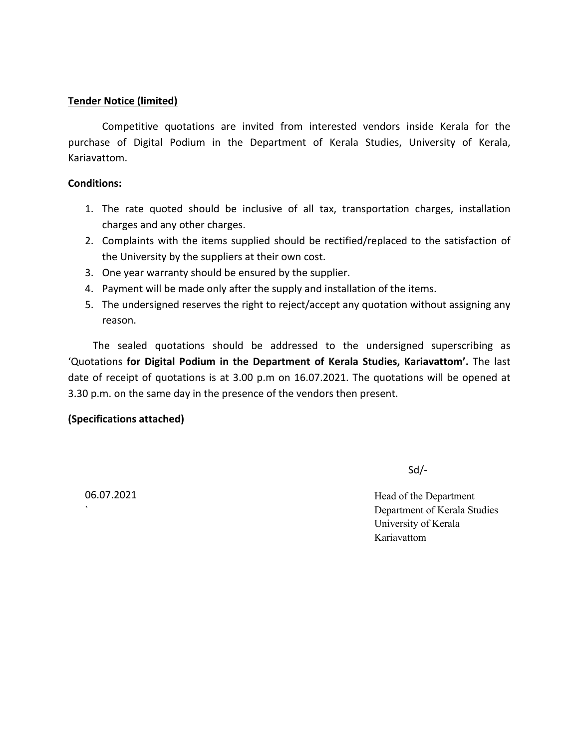### **Tender Notice (limited)**

Competitive quotations are invited from interested vendors inside Kerala for the purchase of Digital Podium in the Department of Kerala Studies, University of Kerala, Kariavattom.

### **Conditions:**

- 1. The rate quoted should be inclusive of all tax, transportation charges, installation charges and any other charges.
- 2. Complaints with the items supplied should be rectified/replaced to the satisfaction of the University by the suppliers at their own cost.
- 3. One year warranty should be ensured by the supplier.
- 4. Payment will be made only after the supply and installation of the items.
- 5. The undersigned reserves the right to reject/accept any quotation without assigning any reason.

The sealed quotations should be addressed to the undersigned superscribing as 'Quotations **for Digital Podium in the Department of Kerala Studies, Kariavattom'.** The last date of receipt of quotations is at 3.00 p.m on 16.07.2021. The quotations will be opened at 3.30 p.m. on the same day in the presence of the vendors then present.

## **(Specifications attached)**

Sd/-

06.07.2021 Head of the Department ` Department of Kerala Studies University of Kerala Kariavattom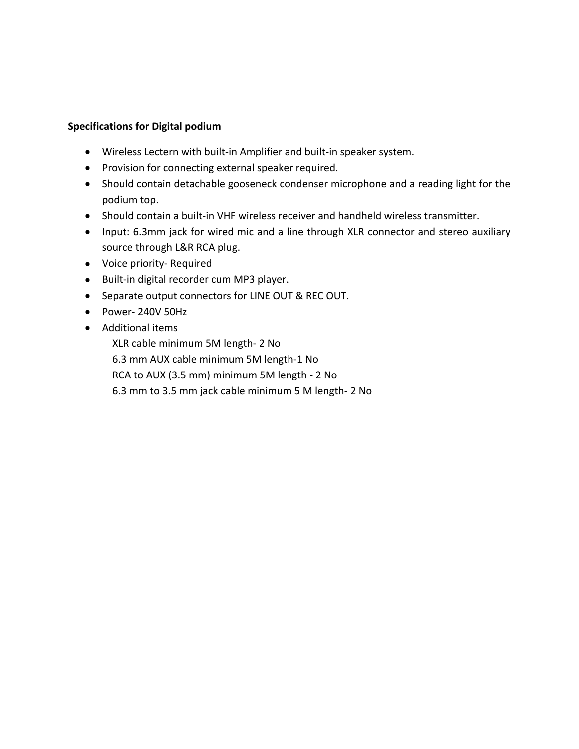# **Specifications for Digital podium**

- Wireless Lectern with built-in Amplifier and built-in speaker system.
- Provision for connecting external speaker required.
- Should contain detachable gooseneck condenser microphone and a reading light for the podium top.
- Should contain a built-in VHF wireless receiver and handheld wireless transmitter.
- Input: 6.3mm jack for wired mic and a line through XLR connector and stereo auxiliary source through L&R RCA plug.
- Voice priority- Required
- Built-in digital recorder cum MP3 player.
- Separate output connectors for LINE OUT & REC OUT.
- Power- 240V 50Hz
- Additional items

XLR cable minimum 5M length- 2 No

6.3 mm AUX cable minimum 5M length-1 No

RCA to AUX (3.5 mm) minimum 5M length - 2 No

6.3 mm to 3.5 mm jack cable minimum 5 M length- 2 No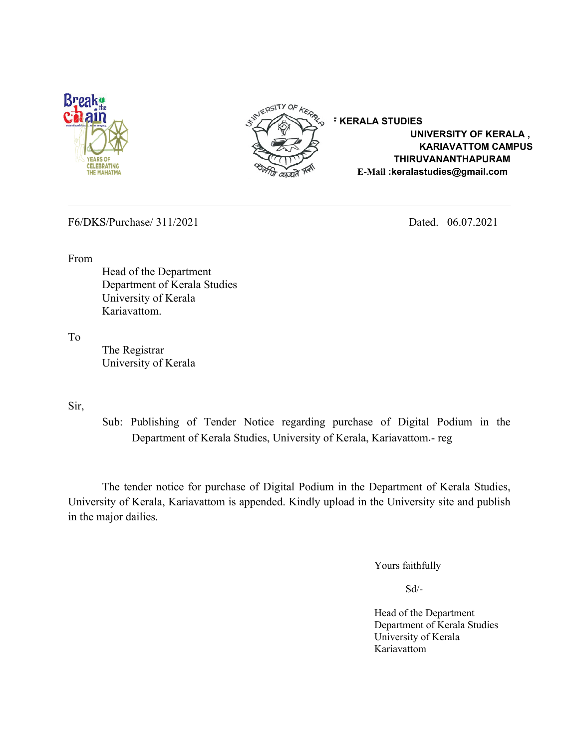



 **UNIVERSITY OF KERALA , KARIAVATTOM CAMPUS THIRUVANANTHAPURAM E-Mail** : **Alternating**<br>THE MAHATMA

F6/DKS/Purchase/ 311/2021 Dated. 06.07.2021

From

Head of the Department Department of Kerala Studies University of Kerala Kariavattom.

To

The Registrar University of Kerala

Sir,

Sub: Publishing of Tender Notice regarding purchase of Digital Podium in the Department of Kerala Studies, University of Kerala, Kariavattom.- reg

The tender notice for purchase of Digital Podium in the Department of Kerala Studies, University of Kerala, Kariavattom is appended. Kindly upload in the University site and publish in the major dailies.

Yours faithfully

Sd/-

Head of the Department Department of Kerala Studies University of Kerala Kariavattom